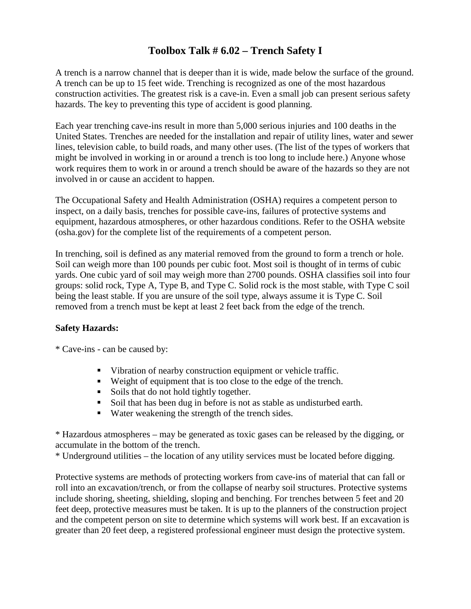## **Toolbox Talk # 6.02 – Trench Safety I**

A trench is a narrow channel that is deeper than it is wide, made below the surface of the ground. A trench can be up to 15 feet wide. Trenching is recognized as one of the most hazardous construction activities. The greatest risk is a cave-in. Even a small job can present serious safety hazards. The key to preventing this type of accident is good planning.

Each year trenching cave-ins result in more than 5,000 serious injuries and 100 deaths in the United States. Trenches are needed for the installation and repair of utility lines, water and sewer lines, television cable, to build roads, and many other uses. (The list of the types of workers that might be involved in working in or around a trench is too long to include here.) Anyone whose work requires them to work in or around a trench should be aware of the hazards so they are not involved in or cause an accident to happen.

The Occupational Safety and Health Administration (OSHA) requires a competent person to inspect, on a daily basis, trenches for possible cave-ins, failures of protective systems and equipment, hazardous atmospheres, or other hazardous conditions. Refer to the OSHA website (osha.gov) for the complete list of the requirements of a competent person.

In trenching, soil is defined as any material removed from the ground to form a trench or hole. Soil can weigh more than 100 pounds per cubic foot. Most soil is thought of in terms of cubic yards. One cubic yard of soil may weigh more than 2700 pounds. OSHA classifies soil into four groups: solid rock, Type A, Type B, and Type C. Solid rock is the most stable, with Type C soil being the least stable. If you are unsure of the soil type, always assume it is Type C. Soil removed from a trench must be kept at least 2 feet back from the edge of the trench.

## **Safety Hazards:**

\* Cave-ins - can be caused by:

- Vibration of nearby construction equipment or vehicle traffic.
- Weight of equipment that is too close to the edge of the trench.
- Soils that do not hold tightly together.
- Soil that has been dug in before is not as stable as undisturbed earth.
- Water weakening the strength of the trench sides.

\* Hazardous atmospheres – may be generated as toxic gases can be released by the digging, or accumulate in the bottom of the trench.

\* Underground utilities – the location of any utility services must be located before digging.

Protective systems are methods of protecting workers from cave-ins of material that can fall or roll into an excavation/trench, or from the collapse of nearby soil structures. Protective systems include shoring, sheeting, shielding, sloping and benching. For trenches between 5 feet and 20 feet deep, protective measures must be taken. It is up to the planners of the construction project and the competent person on site to determine which systems will work best. If an excavation is greater than 20 feet deep, a registered professional engineer must design the protective system.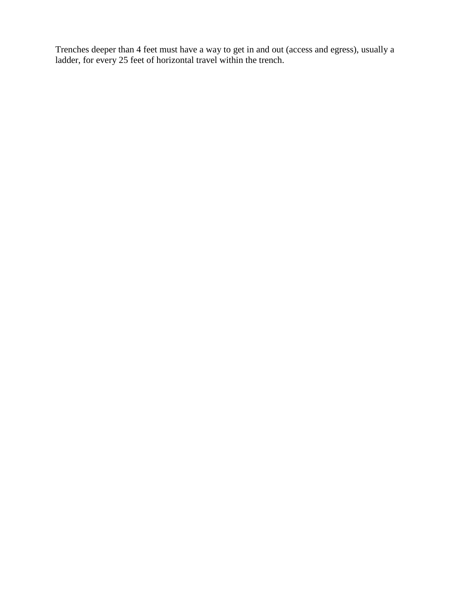Trenches deeper than 4 feet must have a way to get in and out (access and egress), usually a ladder, for every 25 feet of horizontal travel within the trench.